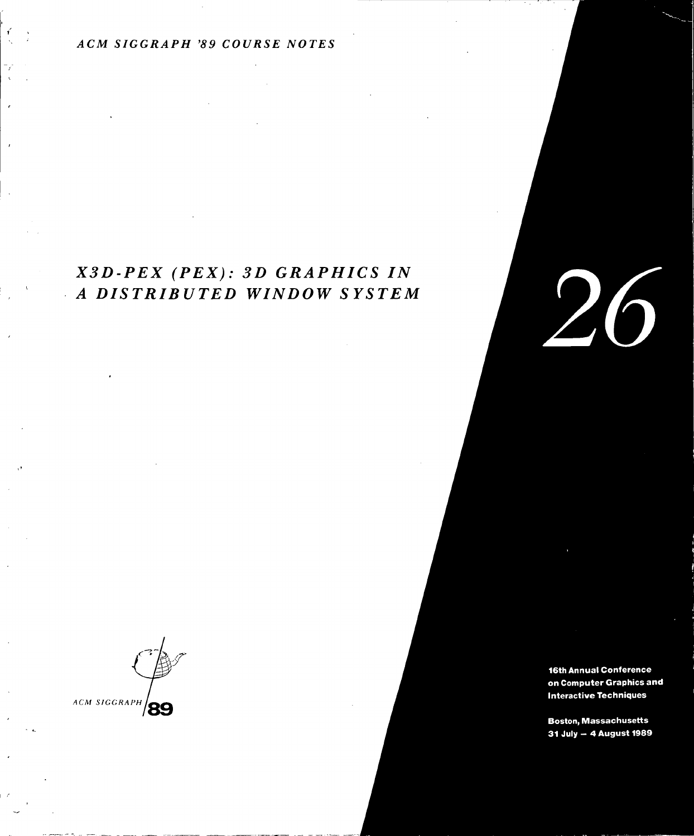#### ACM SIGGRAPH '89 COURSE NOTES

## $X3D-PEX$  ( $PEX$ ): 3D GRAPHICS IN A DISTRIBUTED WINDOW SYSTEM

ACM SIGGRAPH '/89

16th Annual Conference on Computer Graphics and **Interactive Techniques** 

**Boston, Massachusetts** 31 July - 4 August 1989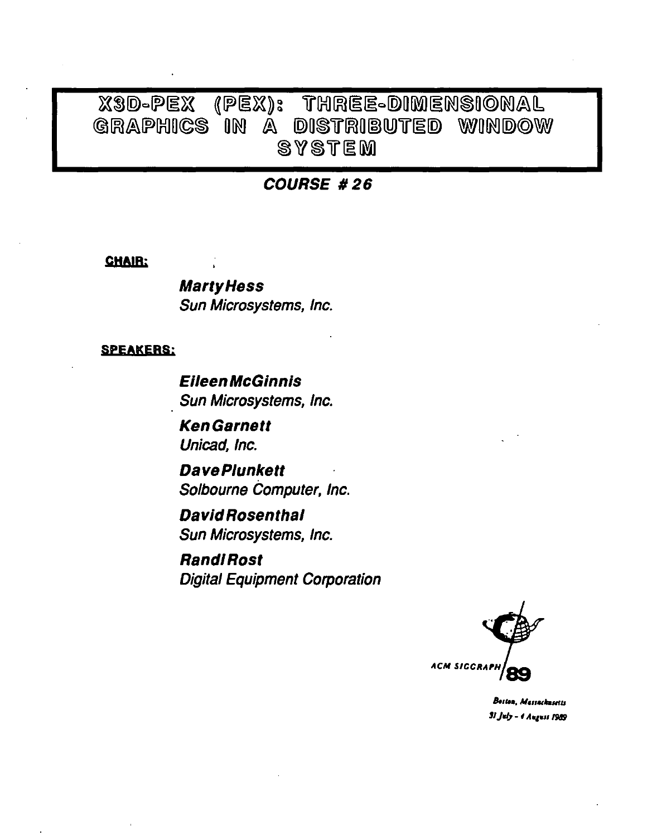# X3D-PEX (PEX): THREE-DIMENSIONAL GRAPHICS IN A DISTRIBUTED WINDOW **SYSTEM**

### **COURSE #26**

#### **CHAIR:**

**Marty Hess** Sun Microsystems, Inc.

#### **SPEAKERS:**

**Eileen McGinnis** Sun Microsystems, Inc.

**KenGarnett** Unicad, Inc.

**DavePlunkett** Solbourne Computer, Inc.

**David Rosenthal** Sun Microsystems, Inc.

**Randi Rost Digital Equipment Corporation** 



Beston, Massachusetts 31 July - 4 August 1989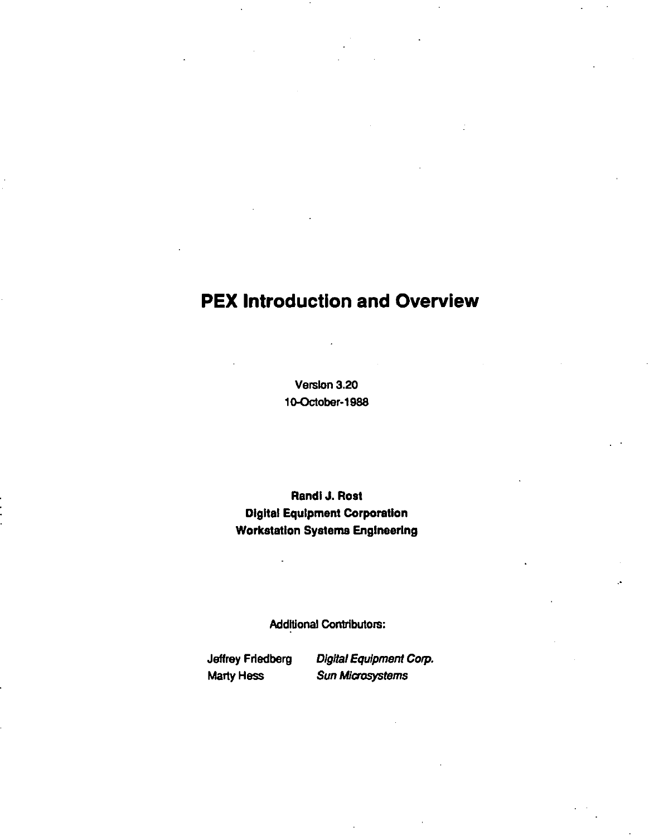# **PEX Introduction and Overview**

Version 3.20 10-October-1988

Randl J. Rost Digital Equipment Corporation Workstation Systems Engineering

Additional Contributors:

Jeffrey Friedberg Digital Equipment Corp. Marty Hess Sun Microsystems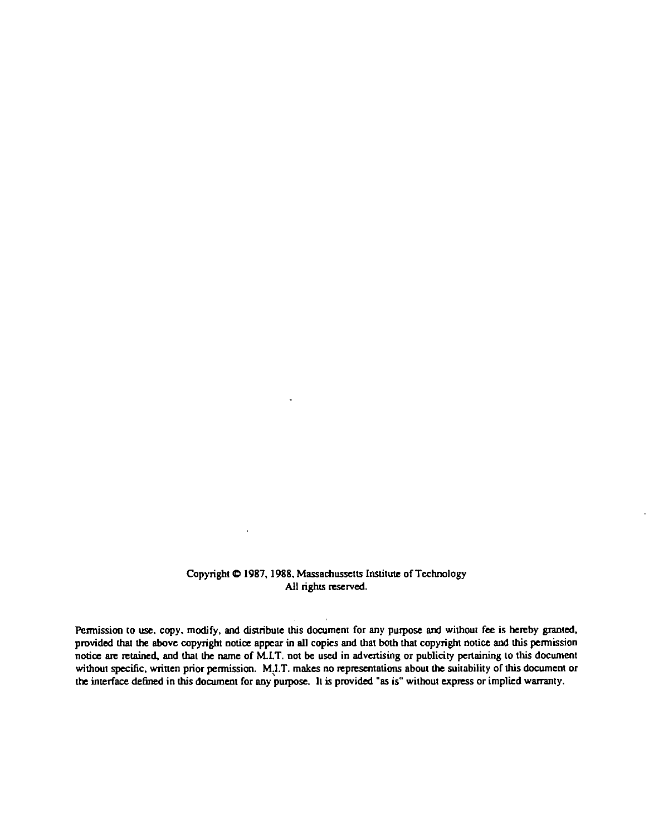#### Copyright  $\Phi$  1987, 1988. Massachussetts Institute of Technology All rights reserved.

 $\ddot{\phantom{a}}$ 

 $\mathbf{u} = \mathbf{u}$  .

Permission to use, copy, modify, and distribute this document for any purpose and without fee is hereby granted, provided that the above copyright notice appear in all copies and that both that copyright notice and this pennission notice are retained, and that the name of M.I.T. not be used in advenising or publicity penaining to this document without specific, written prior permission. M,I.T. makes no representations about the suitability of this document or the interface defined in this document for any purpose. It is provided "as is" without express or implied warranty.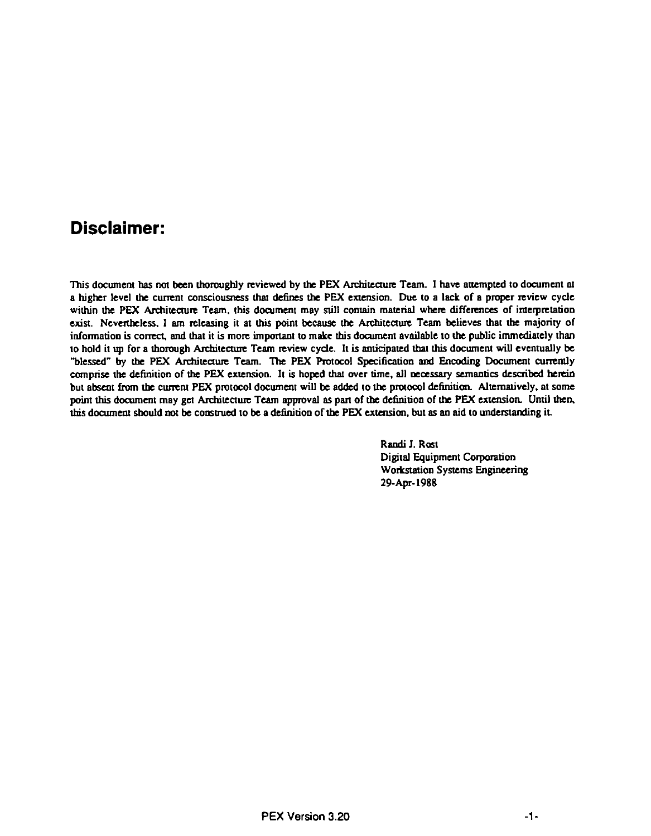## **Disclaimer:**

This document has not been thoroughly reviewed by the PEX Architecture Team. I have attempted to document at a higher level the current consciousness lhal defines the PEX extension. Due to a lack of a proper review cycle within the PEX Architecture Team, this document may still contain material where differences of imerpretation exist. Nevertheless. I am releasing it at this point because the Architecture Team believes that the majority of information is correct, and that it is more important to make this document available to the public immediately than to hold it up for a thorough Architecture Team review cycle. It is anticipated that this document will eventually be 'blessed" by the PEX Architecture Team. The PEX Protocol Specification and Encoding Document curremly comprise the definition of the PEX extension. It is hoped that over time, all necessary semantics described herein but absent from the current PEX protocol document will be added to the protocol definition. Alternatively, at some point this document may get Architecture Team approval as pan of the definition of the PEX extension. Until then. this document should not be construed to be a definition of the PEX extension, but as an aid to understanding it.

> Randi J. Rost Digital Equipment Corporation Workstation Systems Engineering 29-Apr-I 988